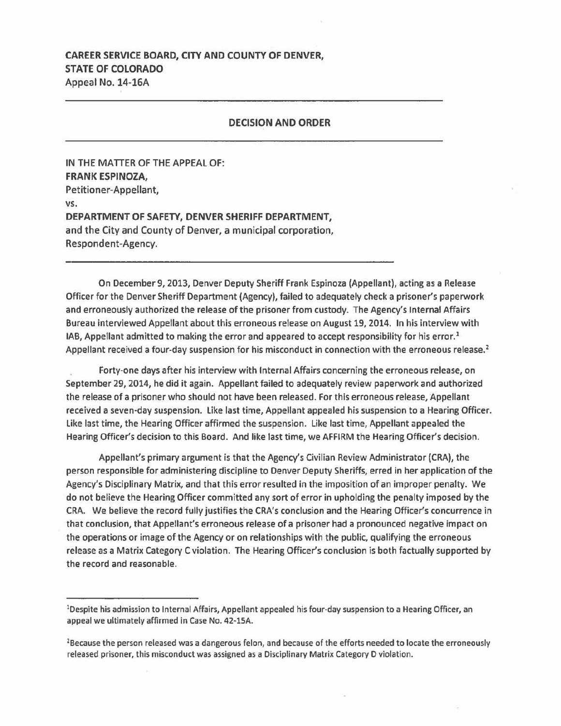## CAREER SERVICE BOARD, CITY AND COUNTY OF DENVER, STATE OF COLORADO Appeal No. 14-lGA

## **DECISION AND ORDER**

IN THE MATTER OF THE APPEAL OF: **FRANK ESPINOZA,**  Petitioner-Appellant, **vs. DEPARTMENT OF SAFETY, DENVER SHERIFF DEPARTMENT,**  and the City and County of Denver, a municipal corporation, Respondent-Agency.

On December 9, 2013, Denver Deputy Sheriff Frank Espinoza (Appellant), acting as a Release Officer for the Denver Sheriff Department (Agency), failed to adequately check a prisoner's paperwork and erroneously authorized the release of the prisoner from custody. The Agency's Internal Affairs Bureau interviewed Appellant about this erroneous release on August 19, 2014. In his interview with IAB, Appellant admitted to making the error and appeared to accept responsibility for his error.<sup>1</sup> Appellant received a four-day suspension for his misconduct in connection with the erroneous release.<sup>2</sup>

Forty-one days after his interview with Internal Affairs concerning the erroneous release, on September 29, 2014, he did it again. Appellant failed to adequately review paperwork and authorized the release of a prisoner who should not have been released. For this erroneous release, Appellant received a seven-day suspension. Like last time, Appellant appealed his suspension to a Hearing Officer. Like last time, the Hearing Officer affirmed the suspension. Like last time, Appellant appealed the Hearing Officer's decision to this Board. And like last time, we AFFIRM the Hearing Officer's decision.

Appellant's primary argument is that the Agency's Civilian Review Administrator (CRA), the person responsible for administering discipline to Denver Deputy Sheriffs, erred in her application of the Agency's Disciplinary Matrix, and that this error resulted in the imposition of an improper penalty. We do not believe the Hearing Officer committed any sort of error in upholding the penalty imposed by the CRA. We believe the record fully justifies the CRA's conclusion and the Hearing Officer's concurrence in that conclusion, that Appellant's erroneous release of a prisoner had a pronounced negative impact on the operations or image of the Agency or on relationships with the public, qualifying the erroneous release as a Matrix Category C violation. The Hearing Officer's conclusion is both factually supported by the record and reasonable.

<sup>&</sup>lt;sup>1</sup>Despite his admission to Internal Affairs, Appellant appealed his four-day suspension to a Hearing Officer, an appeal we ultimately affirmed in Case No. 42-15A.

<sup>2</sup> Because the person released was a dangerous felon, and because of the efforts needed to locate the erroneously released prisoner, this misconduct was assigned as a Disciplinary Matrix Category D violation.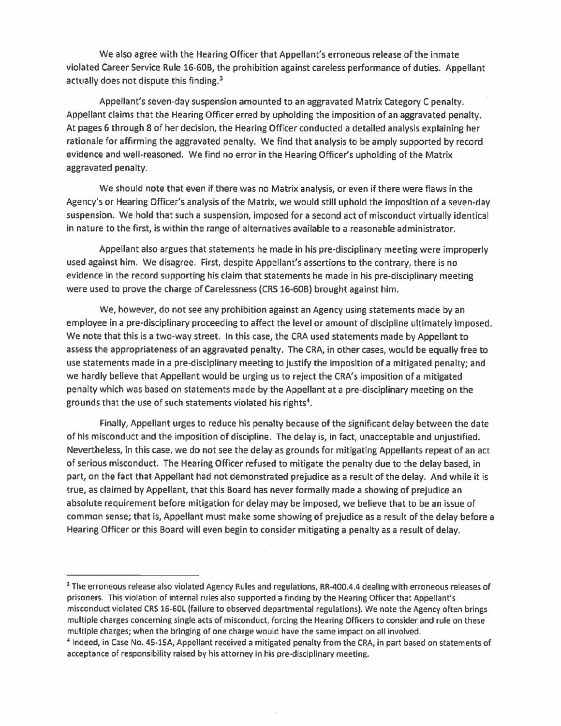We also agree with the Hearing Officer that Appellant's erroneous release of the inmate violated Career Service Rule 16-60B, the prohibition against careless performance of duties. Appellant actually does not dispute this finding.<sup>3</sup>

Appellant's seven-day suspension amounted to an aggravated Matrix Category C penalty. Appellant claims that the Hearing Officer erred by upholding the imposition of an aggravated penalty. At pages 6 through 8 of her decision, the Hearing Officer conducted a detailed analysis explaining her rationale for affirming the aggravated penalty. We find that analysis to be amply supported by record evidence and well-reasoned. We find no error in the Hearing Officer's upholding of the Matrix aggravated penalty.

We should note that even if there was no Matrix analysis, or even if there were flaws in the Agency's or Hearing Officer's analysis of the Matrix, we would still uphold the imposition of a seven-day suspension. We hold that such a suspension, imposed for a second act of misconduct virtually identical in nature to the first, is within the range of alternatives available to a reasonable administrator.

Appellant also argues that statements he made in his pre-disciplinary meeting were improperly used against him. We disagree. First, despite Appellant's assertions to the contrary, there is no evidence in the record supporting his claim that statements he made in his pre-disciplinary meeting were used to prove the charge of Carelessness (CRS 16-60B) brought against him.

We, however, do not see any prohibition against an Agency using statements made by an employee in a pre-disciplinary proceeding to affect the level or amount of discipline ultimately imposed. We note that this is a two-way street. In this case, the CRA used statements made by Appellant to assess the appropriateness of an aggravated penalty. The CRA, in other cases, would be equally free to use statements made in a pre-disciplinary meeting to justify the imposition of a mitigated penalty; and we hardly believe that Appellant would be urging us to reject the CRA's imposition of a mitigated penalty which was based on statements made by the Appellant at a pre-disciplinary meeting on the grounds that the use of such statements violated his rights<sup>4</sup>.

Finally, Appellant urges to reduce his penalty because of the significant delay between the date of his misconduct and the imposition of discipline. The delay is, in fact, unacceptable and unjustified. Nevertheless, in this case, we do not see the delay as grounds for mitigating Appellants repeat of an act of serious misconduct. The Hearing Officer refused to mitigate the penalty due to the delay based, in part, on the fact that Appellant had not demonstrated prejudice as a result of the delay. And while it is true, as claimed by Appellant, that this Board has never formally made a showing of prejudice an absolute requirement before mitigation for delay may be imposed, we believe that to be an issue of common sense; that is, Appellant must make some showing of prejudice as a result of the delay before a Hearing Officer or this Board will even begin to consider mitigating a penalty as a result of delay.

<sup>&</sup>lt;sup>3</sup> The erroneous release also violated Agency Rules and regulations, RR-400.4.4 dealing with erroneous releases of prisoners. This violation of internal rules also supported a finding by the Hearing Officer that Appellant's misconduct violated CRS 16-60L (failure to observed departmental regulations). We note the Agency often brings multiple charges concerning single acts of misconduct, forcing the Hearing Officers to consider and rule on these multiple charges; when the bringing of one charge would have the same impact on all involved.<br>4 Indeed, in Case No. 45-15A, Appellant received a mitigated penalty from the CRA, in part based on statements of

acceptance of responsibility raised by his attorney in his pre-disciplinary meeting.